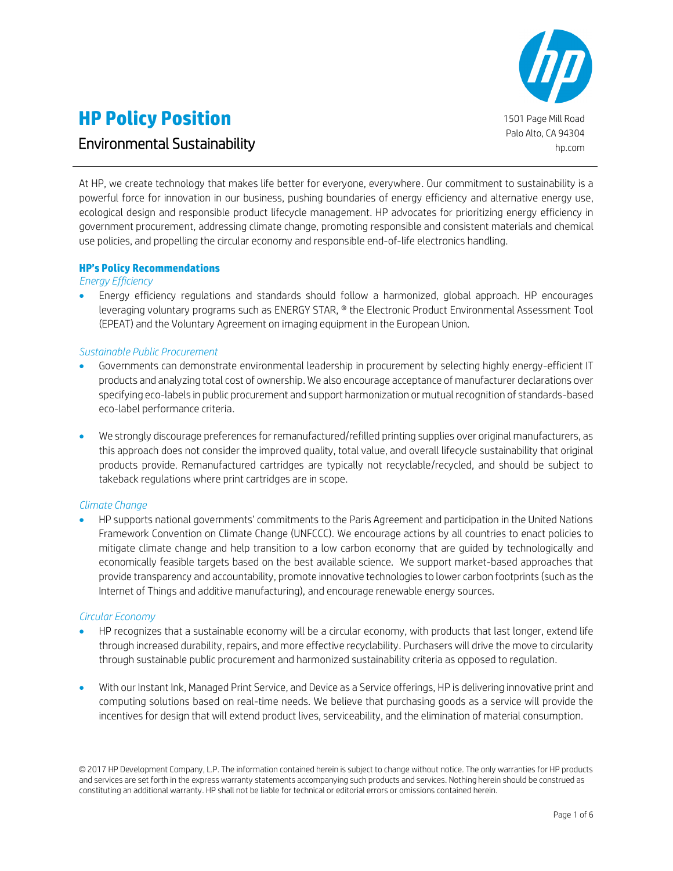

# **HP Policy Position**

# Environmental Sustainability

At HP, we create technology that makes life better for everyone, everywhere. Our commitment to sustainability is a powerful force for innovation in our business, pushing boundaries of energy efficiency and alternative energy use, ecological design and responsible product lifecycle management. HP advocates for prioritizing energy efficiency in government procurement, addressing climate change, promoting responsible and consistent materials and chemical use policies, and propelling the circular economy and responsible end-of-life electronics handling.

# **HP's Policy Recommendations**

#### *Energy Efficiency*

 Energy efficiency regulations and standards should follow a harmonized, global approach. HP encourages leveraging voluntary programs such as ENERGY STAR, ® the Electronic Product Environmental Assessment Tool (EPEAT) and the Voluntary Agreement on imaging equipment in the European Union.

# *Sustainable Public Procurement*

- Governments can demonstrate environmental leadership in procurement by selecting highly energy-efficient IT products and analyzing total cost of ownership. We also encourage acceptance of manufacturer declarations over specifying eco-labels in public procurement and support harmonization or mutual recognition of standards-based eco-label performance criteria.
- We strongly discourage preferences for remanufactured/refilled printing supplies over original manufacturers, as this approach does not consider the improved quality, total value, and overall lifecycle sustainability that original products provide. Remanufactured cartridges are typically not recyclable/recycled, and should be subject to takeback regulations where print cartridges are in scope.

# *Climate Change*

 HP supports national governments' commitments to the Paris Agreement and participation in the United Nations Framework Convention on Climate Change (UNFCCC). We encourage actions by all countries to enact policies to mitigate climate change and help transition to a low carbon economy that are guided by technologically and economically feasible targets based on the best available science. We support market-based approaches that provide transparency and accountability, promote innovative technologies to lower carbon footprints (such as the Internet of Things and additive manufacturing), and encourage renewable energy sources.

# *Circular Economy*

- HP recognizes that a sustainable economy will be a circular economy, with products that last longer, extend life through increased durability, repairs, and more effective recyclability. Purchasers will drive the move to circularity through sustainable public procurement and harmonized sustainability criteria as opposed to regulation.
- With our Instant Ink, Managed Print Service, and Device as a Service offerings, HP is delivering innovative print and computing solutions based on real-time needs. We believe that purchasing goods as a service will provide the incentives for design that will extend product lives, serviceability, and the elimination of material consumption.

<sup>©</sup> 2017 HP Development Company, L.P. The information contained herein is subject to change without notice. The only warranties for HP products and services are set forth in the express warranty statements accompanying such products and services. Nothing herein should be construed as constituting an additional warranty. HP shall not be liable for technical or editorial errors or omissions contained herein.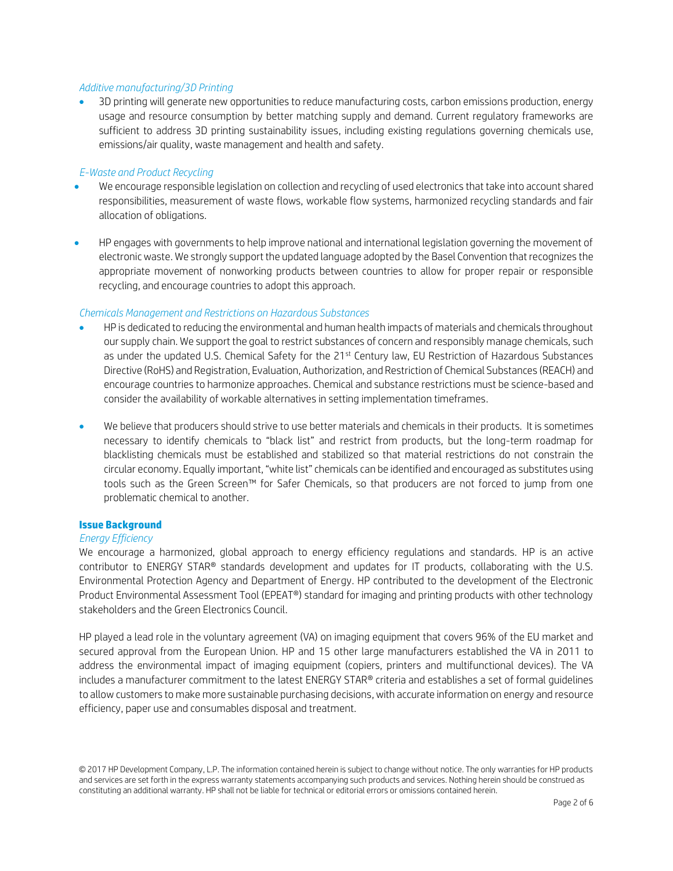#### *Additive manufacturing/3D Printing*

 3D printing will generate new opportunities to reduce manufacturing costs, carbon emissions production, energy usage and resource consumption by better matching supply and demand. Current regulatory frameworks are sufficient to address 3D printing sustainability issues, including existing regulations governing chemicals use, emissions/air quality, waste management and health and safety.

## *E-Waste and Product Recycling*

- We encourage responsible legislation on collection and recycling of used electronics that take into account shared responsibilities, measurement of waste flows, workable flow systems, harmonized recycling standards and fair allocation of obligations.
- HP engages with governments to help improve national and international legislation governing the movement of electronic waste. We strongly support the updated language adopted by the Basel Convention that recognizes the appropriate movement of nonworking products between countries to allow for proper repair or responsible recycling, and encourage countries to adopt this approach.

#### *Chemicals Management and Restrictions on Hazardous Substances*

- HP is dedicated to reducing the environmental and human health impacts of materials and chemicals throughout our supply chain. We support the goal to restrict substances of concern and responsibly manage chemicals, such as under the updated U.S. Chemical Safety for the 21st Century law, EU Restriction of Hazardous Substances Directive (RoHS) and Registration, Evaluation, Authorization, and Restriction of Chemical Substances (REACH) and encourage countries to harmonize approaches. Chemical and substance restrictions must be science-based and consider the availability of workable alternatives in setting implementation timeframes.
- We believe that producers should strive to use better materials and chemicals in their products. It is sometimes necessary to identify chemicals to "black list" and restrict from products, but the long-term roadmap for blacklisting chemicals must be established and stabilized so that material restrictions do not constrain the circular economy. Equally important, "white list" chemicals can be identified and encouraged as substitutes using tools such as the Green Screen™ for Safer Chemicals, so that producers are not forced to jump from one problematic chemical to another.

#### **Issue Background**

# *Energy Efficiency*

We encourage a harmonized, global approach to energy efficiency regulations and standards. HP is an active contributor to ENERGY STAR® standards development and updates for IT products, collaborating with the U.S. Environmental Protection Agency and Department of Energy. HP contributed to the development of the Electronic Product Environmental Assessment Tool (EPEAT®) standard for imaging and printing products with other technology stakeholders and the Green Electronics Council.

HP played a lead role in the voluntary agreement (VA) on imaging equipment that covers 96% of the EU market and secured approval from the European Union. HP and 15 other large manufacturers established the VA in 2011 to address the environmental impact of imaging equipment (copiers, printers and multifunctional devices). The VA includes a manufacturer commitment to the latest ENERGY STAR® criteria and establishes a set of formal guidelines to allow customers to make more sustainable purchasing decisions, with accurate information on energy and resource efficiency, paper use and consumables disposal and treatment.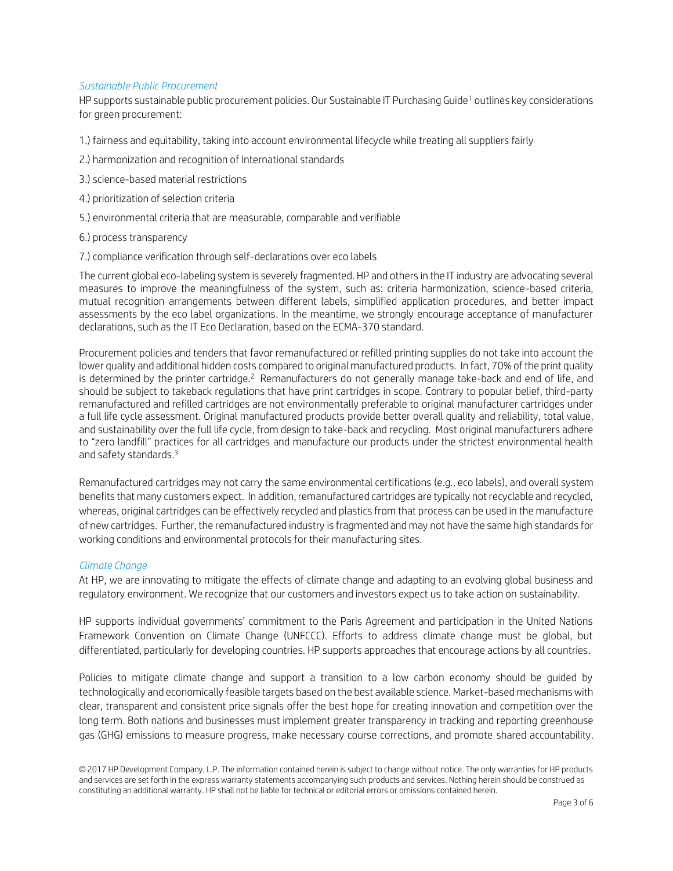## *Sustainable Public Procurement*

HP supports sustainable public procurement policies. Our Sustainable IT Purchasing Guide<sup>1</sup> outlines key considerations for green procurement:

- 1.) fairness and equitability, taking into account environmental lifecycle while treating all suppliers fairly
- 2.) harmonization and recognition of International standards
- 3.) science-based material restrictions
- 4.) prioritization of selection criteria
- 5.) environmental criteria that are measurable, comparable and verifiable
- 6.) process transparency
- 7.) compliance verification through self-declarations over eco labels

The current global eco-labeling system is severely fragmented. HP and others in the IT industry are advocating several measures to improve the meaningfulness of the system, such as: criteria harmonization, science-based criteria, mutual recognition arrangements between different labels, simplified application procedures, and better impact assessments by the eco label organizations. In the meantime, we strongly encourage acceptance of manufacturer declarations, such as the IT Eco Declaration, based on the ECMA-370 standard.

Procurement policies and tenders that favor remanufactured or refilled printing supplies do not take into account the lower quality and additional hidden costs compared to original manufactured products. In fact, 70% of the print quality is determined by the printer cartridge.<sup>2</sup> Remanufacturers do not generally manage take-back and end of life, and should be subject to takeback regulations that have print cartridges in scope. Contrary to popular belief, third-party remanufactured and refilled cartridges are not environmentally preferable to original manufacturer cartridges under a full life cycle assessment. Original manufactured products provide better overall quality and reliability, total value, and sustainability over the full life cycle, from design to take-back and recycling. Most original manufacturers adhere to "zero landfill" practices for all cartridges and manufacture our products under the strictest environmental health and safety standards.<sup>3</sup>

Remanufactured cartridges may not carry the same environmental certifications (e.g., eco labels), and overall system benefits that many customers expect. In addition, remanufactured cartridges are typically not recyclable and recycled, whereas, original cartridges can be effectively recycled and plastics from that process can be used in the manufacture of new cartridges. Further, the remanufactured industry is fragmented and may not have the same high standards for working conditions and environmental protocols for their manufacturing sites.

# *Climate Change*

At HP, we are innovating to mitigate the effects of climate change and adapting to an evolving global business and regulatory environment. We recognize that our customers and investors expect us to take action on sustainability.

HP supports individual governments' commitment to the Paris Agreement and participation in the United Nations Framework Convention on Climate Change (UNFCCC). Efforts to address climate change must be global, but differentiated, particularly for developing countries. HP supports approaches that encourage actions by all countries.

Policies to mitigate climate change and support a transition to a low carbon economy should be guided by technologically and economically feasible targets based on the best available science. Market-based mechanisms with clear, transparent and consistent price signals offer the best hope for creating innovation and competition over the long term. Both nations and businesses must implement greater transparency in tracking and reporting greenhouse gas (GHG) emissions to measure progress, make necessary course corrections, and promote shared accountability.

<sup>©</sup> 2017 HP Development Company, L.P. The information contained herein is subject to change without notice. The only warranties for HP products and services are set forth in the express warranty statements accompanying such products and services. Nothing herein should be construed as constituting an additional warranty. HP shall not be liable for technical or editorial errors or omissions contained herein.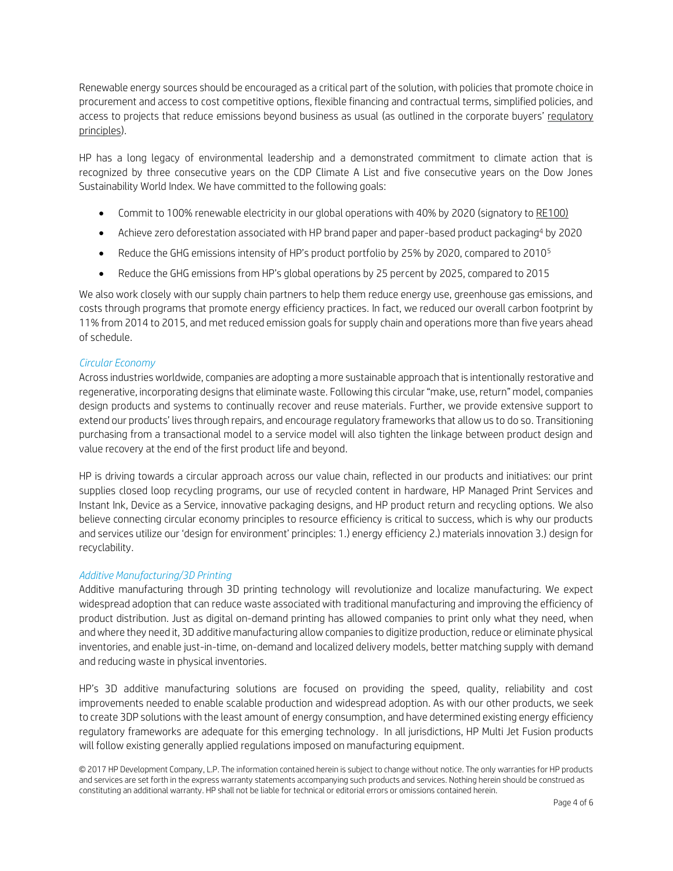Renewable energy sources should be encouraged as a critical part of the solution, with policies that promote choice in procurement and access to cost competitive options, flexible financing and contractual terms, simplified policies, and access to projects that reduce emissions beyond business as usual (as outlined in the corporate buyers' [regulatory](http://buyersprinciples.org/)  [principles\)](http://buyersprinciples.org/).

HP has a long legacy of environmental leadership and a demonstrated commitment to climate action that is recognized by three consecutive years on the CDP Climate A List and five consecutive years on the Dow Jones Sustainability World Index. We have committed to the following goals:

- Commit to 100% renewable electricity in our global operations with 40% by 2020 (signatory to [RE100\)](http://re100.org/hp-inc)
- Achieve zero deforestation associated with HP brand paper and paper-based product packaging<sup>4</sup> by 2020
- Reduce the GHG emissions intensity of HP's product portfolio by 25% by 2020, compared to 2010<sup>5</sup>
- Reduce the GHG emissions from HP's global operations by 25 percent by 2025, compared to 2015

We also work closely with our supply chain partners to help them reduce energy use, greenhouse gas emissions, and costs through programs that promote energy efficiency practices. In fact, we reduced our overall carbon footprint by 11% from 2014 to 2015, and met reduced emission goals for supply chain and operations more than five years ahead of schedule.

# *Circular Economy*

Across industries worldwide, companies are adopting a more sustainable approach that is intentionally restorative and regenerative, incorporating designs that eliminate waste. Following this circular "make, use, return" model, companies design products and systems to continually recover and reuse materials. Further, we provide extensive support to extend our products' lives through repairs, and encourage regulatory frameworks that allow us to do so. Transitioning purchasing from a transactional model to a service model will also tighten the linkage between product design and value recovery at the end of the first product life and beyond.

HP is driving towards a circular approach across our value chain, reflected in our products and initiatives: our print supplies closed loop recycling programs, our use of recycled content in hardware, HP Managed Print Services and Instant Ink, Device as a Service, innovative packaging designs, and HP product return and recycling options. We also believe connecting circular economy principles to resource efficiency is critical to success, which is why our products and services utilize our 'design for environment' principles: 1.) energy efficiency 2.) materials innovation 3.) design for recyclability.

# *Additive Manufacturing/3D Printing*

Additive manufacturing through 3D printing technology will revolutionize and localize manufacturing. We expect widespread adoption that can reduce waste associated with traditional manufacturing and improving the efficiency of product distribution. Just as digital on-demand printing has allowed companies to print only what they need, when and where they need it, 3D additive manufacturing allow companies to digitize production, reduce or eliminate physical inventories, and enable just-in-time, on-demand and localized delivery models, better matching supply with demand and reducing waste in physical inventories.

HP's 3D additive manufacturing solutions are focused on providing the speed, quality, reliability and cost improvements needed to enable scalable production and widespread adoption. As with our other products, we seek to create 3DP solutions with the least amount of energy consumption, and have determined existing energy efficiency regulatory frameworks are adequate for this emerging technology. In all jurisdictions, HP Multi Jet Fusion products will follow existing generally applied regulations imposed on manufacturing equipment.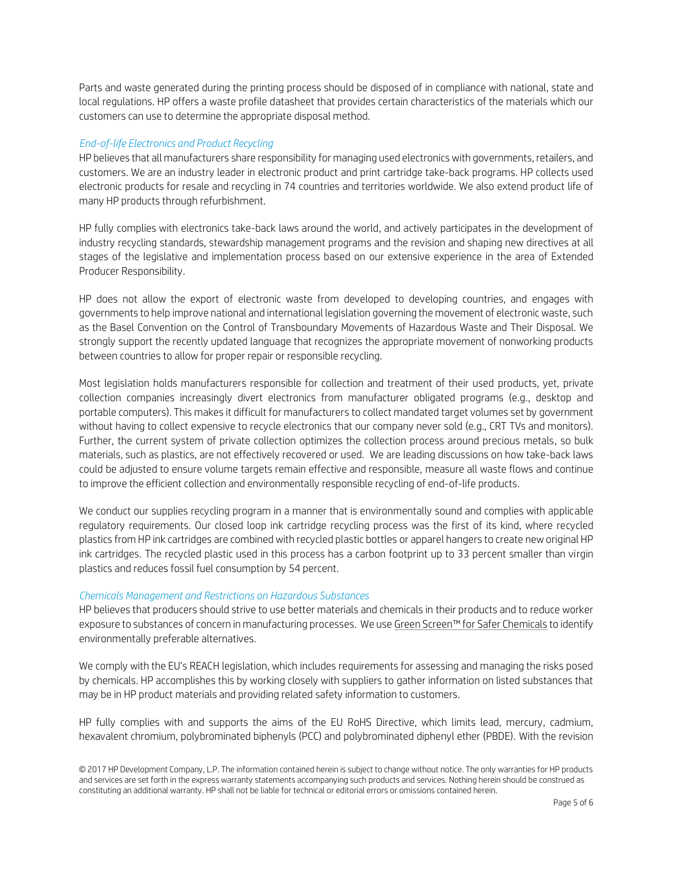Parts and waste generated during the printing process should be disposed of in compliance with national, state and local regulations. HP offers a waste profile datasheet that provides certain characteristics of the materials which our customers can use to determine the appropriate disposal method.

#### *End-of-life Electronics and Product Recycling*

HP believes that all manufacturers share responsibility for managing used electronics with governments, retailers, and customers. We are an industry leader in electronic product and print cartridge take-back programs. HP collects used electronic products for resale and recycling in 74 countries and territories worldwide. We also extend product life of many HP products through refurbishment.

HP fully complies with electronics take-back laws around the world, and actively participates in the development of industry recycling standards, stewardship management programs and the revision and shaping new directives at all stages of the legislative and implementation process based on our extensive experience in the area of Extended Producer Responsibility.

HP does not allow the export of electronic waste from developed to developing countries, and engages with governments to help improve national and international legislation governing the movement of electronic waste, such as the Basel Convention on the Control of Transboundary Movements of Hazardous Waste and Their Disposal. We strongly support the recently updated language that recognizes the appropriate movement of nonworking products between countries to allow for proper repair or responsible recycling.

Most legislation holds manufacturers responsible for collection and treatment of their used products, yet, private collection companies increasingly divert electronics from manufacturer obligated programs (e.g., desktop and portable computers). This makes it difficult for manufacturers to collect mandated target volumes set by government without having to collect expensive to recycle electronics that our company never sold (e.g., CRT TVs and monitors). Further, the current system of private collection optimizes the collection process around precious metals, so bulk materials, such as plastics, are not effectively recovered or used. We are leading discussions on how take-back laws could be adjusted to ensure volume targets remain effective and responsible, measure all waste flows and continue to improve the efficient collection and environmentally responsible recycling of end-of-life products.

We conduct our supplies recycling program in a manner that is environmentally sound and complies with applicable regulatory requirements. Our closed loop ink cartridge recycling process was the first of its kind, where recycled plastics from HP ink cartridges are combined with recycled plastic bottles or apparel hangers to create new original HP ink cartridges. The recycled plastic used in this process has a carbon footprint up to 33 percent smaller than virgin plastics and reduces fossil fuel consumption by 54 percent.

# *Chemicals Management and Restrictions on Hazardous Substances*

HP believes that producers should strive to use better materials and chemicals in their products and to reduce worker exposure to substances of concern in manufacturing processes. We use Green Screen™ [for Safer Chemicals](http://greenscreenchemicals.org/) to identify environmentally preferable alternatives.

We comply with the EU's REACH legislation, which includes requirements for assessing and managing the risks posed by chemicals. HP accomplishes this by working closely with suppliers to gather information on listed substances that may be in HP product materials and providing related safety information to customers.

HP fully complies with and supports the aims of the EU RoHS Directive, which limits lead, mercury, cadmium, hexavalent chromium, polybrominated biphenyls (PCC) and polybrominated diphenyl ether (PBDE). With the revision